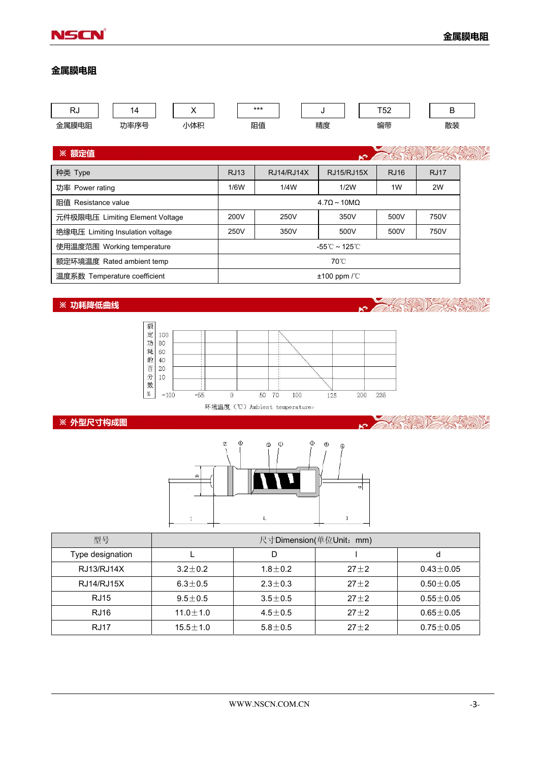

**KSNOW** 

 $\mathcal{E}$ 

有(の))と

D

X

## **金属膜电阻**

| <b>RJ</b>                        | 14                                 | X          |  | $***$             |             | J  | T <sub>52</sub> |  | B  |  |
|----------------------------------|------------------------------------|------------|--|-------------------|-------------|----|-----------------|--|----|--|
| 金属膜电阻                            | 功率序号                               | 小体积        |  | 阻值                |             | 精度 | 编带              |  | 散装 |  |
|                                  |                                    |            |  |                   |             |    |                 |  |    |  |
| <b>※ 额定值</b>                     | <b>RAIL CALLE</b>                  |            |  |                   |             |    |                 |  |    |  |
| 种类 Type                          | <b>RJ13</b>                        | RJ14/RJ14X |  | <b>RJ15/RJ15X</b> | <b>RJ16</b> |    | <b>RJ17</b>     |  |    |  |
| 功率 Power rating                  | 1/6W                               | 1/4W       |  | 1/2W              | 1W          |    | 2W              |  |    |  |
| 阻值 Resistance value              | $4.7\Omega \sim 10 \text{M}\Omega$ |            |  |                   |             |    |                 |  |    |  |
| 元件极限电压 Limiting Element Voltage  | 200V                               | 250V       |  | 350V              | 500V        |    | 750V            |  |    |  |
| 绝缘电压 Limiting Insulation voltage | 250V                               | 350V       |  | 500V              | 500V        |    | 750V            |  |    |  |

| 使用温度范围 Working temperature   | -55℃~125℃                       |  |
|------------------------------|---------------------------------|--|
| 额定环境温度 Rated ambient temp    | 70°C.                           |  |
| 温度系数 Temperature coefficient | $\pm 100$ ppm $\sqrt{\text{C}}$ |  |

## **※ 功耗降低曲线**



环境温度 (℃) Ambient temperaturee

## **※ 外型尺寸构成图**



| 型号               | 尺寸Dimension(单位Unit: mm) |               |          |                 |  |  |  |
|------------------|-------------------------|---------------|----------|-----------------|--|--|--|
| Type designation |                         | D             |          | d               |  |  |  |
| RJ13/RJ14X       | $3.2 + 0.2$             | $1.8 + 0.2$   | $27 + 2$ | $0.43 \pm 0.05$ |  |  |  |
| RJ14/RJ15X       | $6.3 \pm 0.5$           | $2.3 + 0.3$   | $27 + 2$ | $0.50 \pm 0.05$ |  |  |  |
| <b>RJ15</b>      | $9.5 + 0.5$             | $3.5 + 0.5$   | $27 + 2$ | $0.55 + 0.05$   |  |  |  |
| <b>RJ16</b>      | $11.0 + 1.0$            | $4.5 + 0.5$   | $27 + 2$ | $0.65 \pm 0.05$ |  |  |  |
| RJ17             | $15.5 \pm 1.0$          | $5.8 \pm 0.5$ | $27 + 2$ | $0.75 \pm 0.05$ |  |  |  |